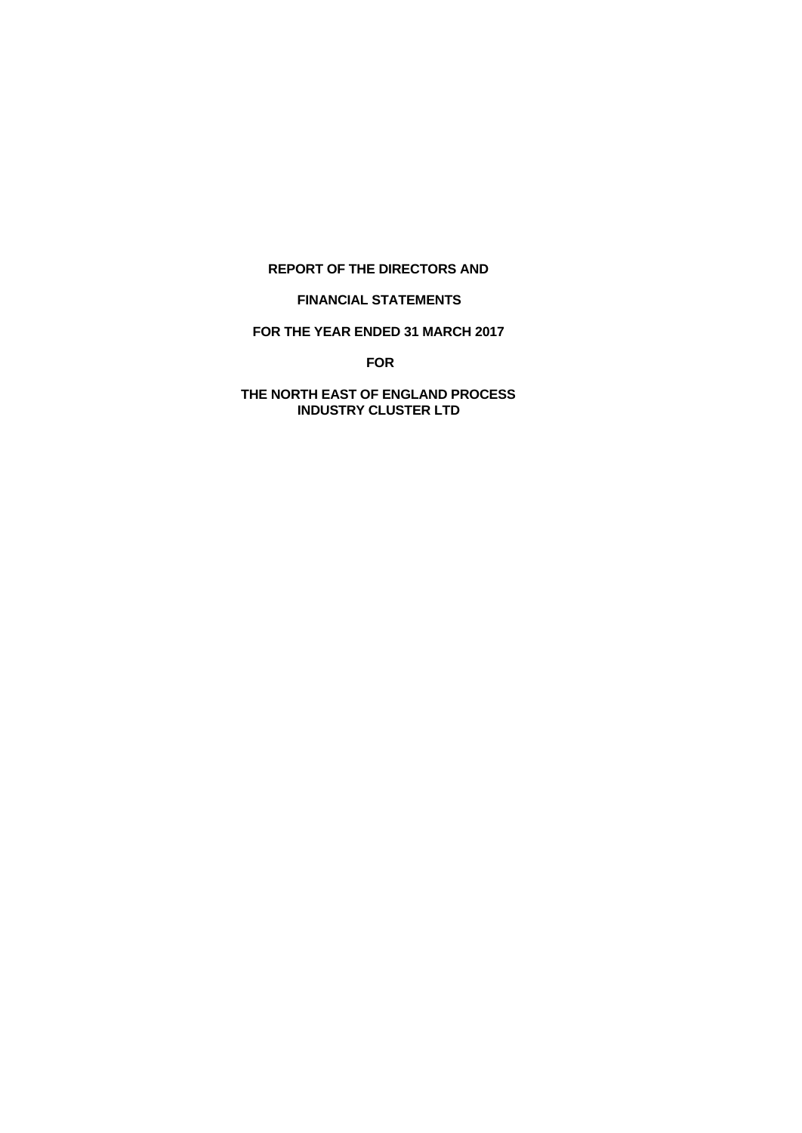## **REPORT OF THE DIRECTORS AND**

# **FINANCIAL STATEMENTS**

# **FOR THE YEAR ENDED 31 MARCH 2017**

**FOR**

## **THE NORTH EAST OF ENGLAND PROCESS INDUSTRY CLUSTER LTD**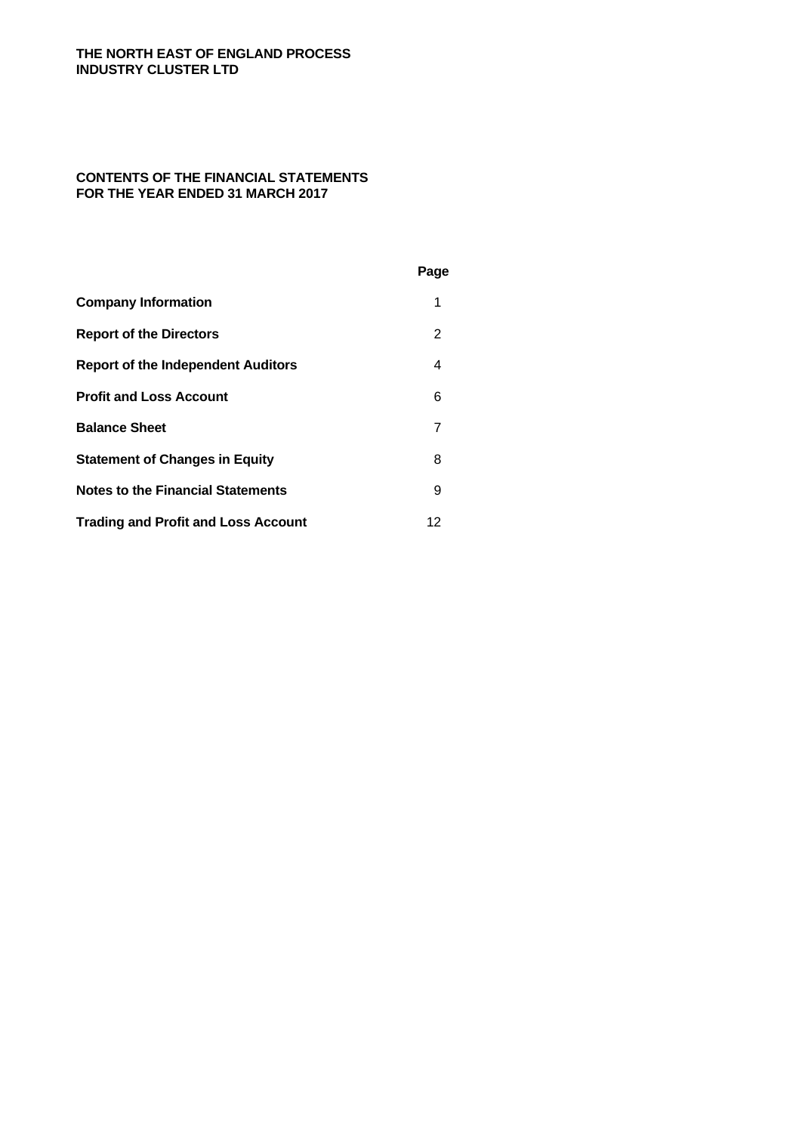# **CONTENTS OF THE FINANCIAL STATEMENTS FOR THE YEAR ENDED 31 MARCH 2017**

|                                            | Page           |  |
|--------------------------------------------|----------------|--|
| <b>Company Information</b>                 | 1              |  |
| <b>Report of the Directors</b>             | 2              |  |
| <b>Report of the Independent Auditors</b>  | 4              |  |
| <b>Profit and Loss Account</b>             | 6              |  |
| <b>Balance Sheet</b>                       | $\overline{7}$ |  |
| <b>Statement of Changes in Equity</b>      | 8              |  |
| <b>Notes to the Financial Statements</b>   | 9              |  |
| <b>Trading and Profit and Loss Account</b> | 12             |  |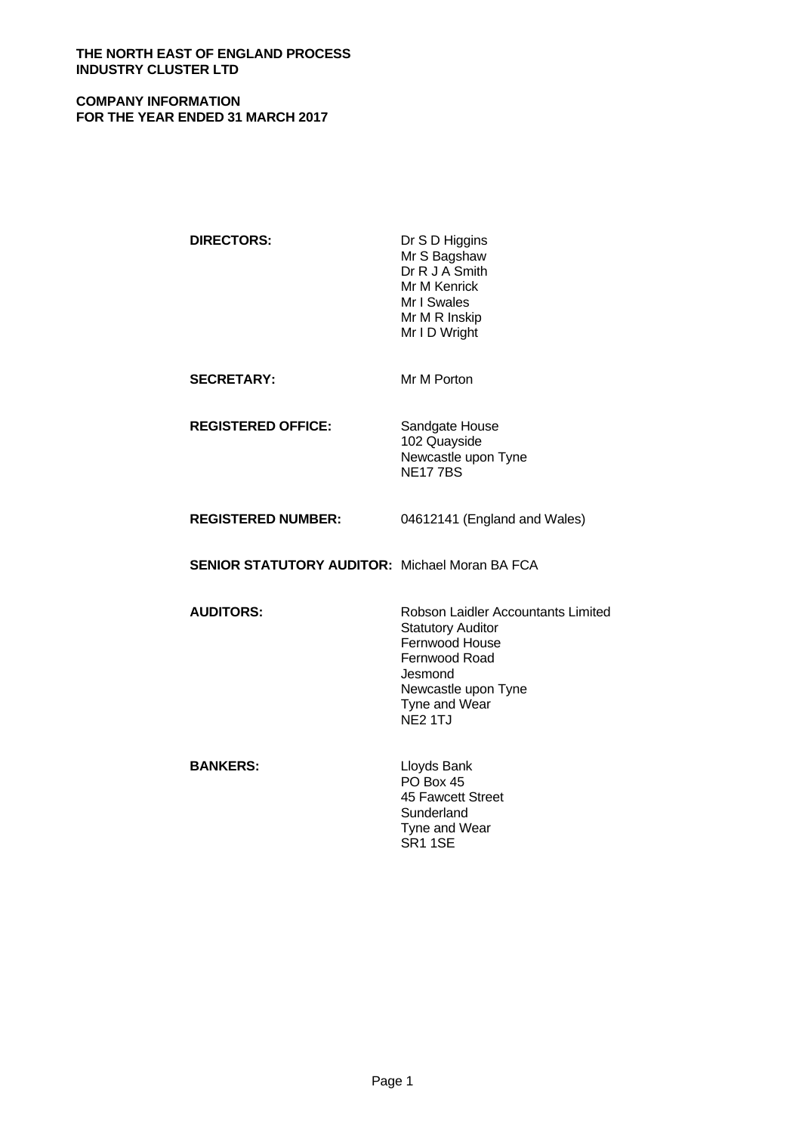# **COMPANY INFORMATION FOR THE YEAR ENDED 31 MARCH 2017**

| <b>DIRECTORS:</b>                                     | Dr S D Higgins<br>Mr S Bagshaw<br>Dr R J A Smith<br>Mr M Kenrick<br>Mr I Swales<br>Mr M R Inskip<br>Mr I D Wright |
|-------------------------------------------------------|-------------------------------------------------------------------------------------------------------------------|
| <b>SECRETARY:</b>                                     | Mr M Porton                                                                                                       |
| <b>REGISTERED OFFICE:</b>                             | Sandgate House<br>102 Quayside<br>Newcastle upon Tyne<br><b>NE177BS</b>                                           |
| <b>REGISTERED NUMBER:</b>                             | 04612141 (England and Wales)                                                                                      |
| <b>SENIOR STATUTORY AUDITOR: Michael Moran BA FCA</b> |                                                                                                                   |

AUDITORS: Robson Laidler Accountants Limited Statutory Auditor Fernwood House Fernwood Road Jesmond Newcastle upon Tyne Tyne and Wear NE2 1TJ

**BANKERS:** Lloyds Bank

PO Box 45 45 Fawcett Street **Sunderland** Tyne and Wear SR1 1SE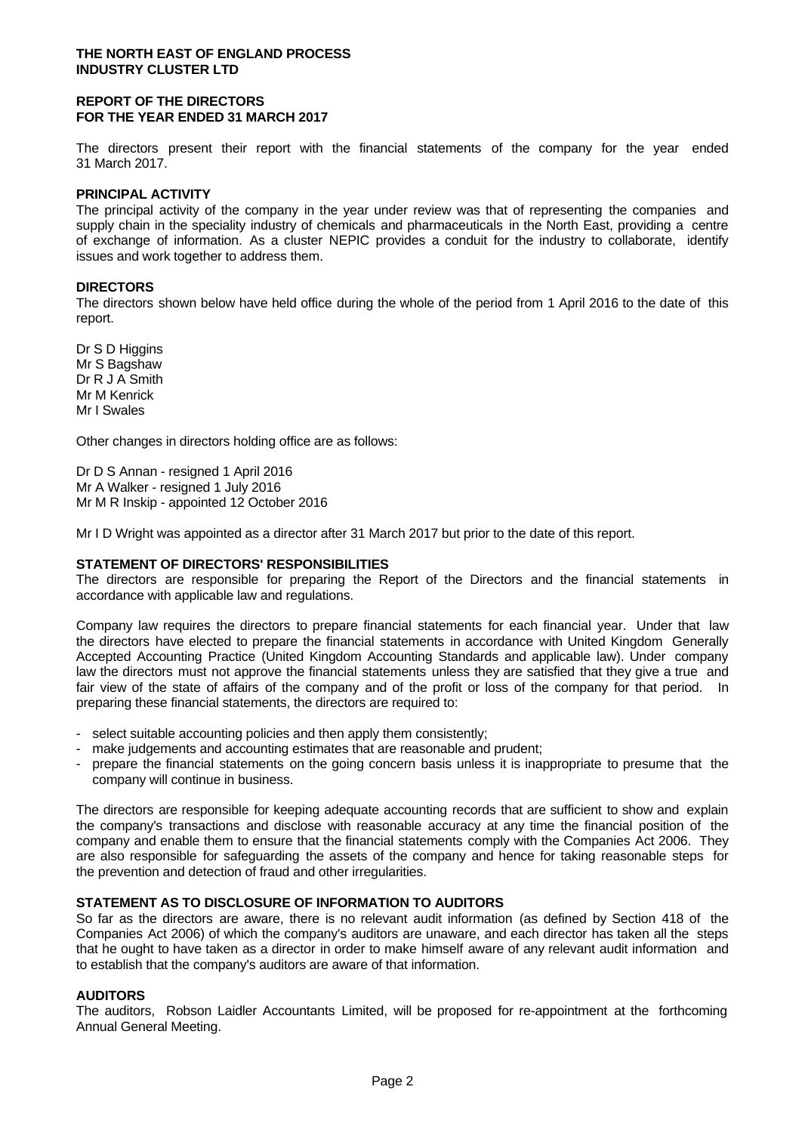## **REPORT OF THE DIRECTORS FOR THE YEAR ENDED 31 MARCH 2017**

The directors present their report with the financial statements of the company for the year ended 31 March 2017.

## **PRINCIPAL ACTIVITY**

The principal activity of the company in the year under review was that of representing the companies and supply chain in the speciality industry of chemicals and pharmaceuticals in the North East, providing a centre of exchange of information. As a cluster NEPIC provides a conduit for the industry to collaborate, identify issues and work together to address them.

## **DIRECTORS**

The directors shown below have held office during the whole of the period from 1 April 2016 to the date of this report.

Dr S D Higgins Mr S Bagshaw Dr R J A Smith Mr M Kenrick Mr I Swales

Other changes in directors holding office are as follows:

Dr D S Annan - resigned 1 April 2016 Mr A Walker - resigned 1 July 2016 Mr M R Inskip - appointed 12 October 2016

Mr I D Wright was appointed as a director after 31 March 2017 but prior to the date of this report.

#### **STATEMENT OF DIRECTORS' RESPONSIBILITIES**

The directors are responsible for preparing the Report of the Directors and the financial statements in accordance with applicable law and regulations.

Company law requires the directors to prepare financial statements for each financial year. Under that law the directors have elected to prepare the financial statements in accordance with United Kingdom Generally Accepted Accounting Practice (United Kingdom Accounting Standards and applicable law). Under company law the directors must not approve the financial statements unless they are satisfied that they give a true and fair view of the state of affairs of the company and of the profit or loss of the company for that period. In preparing these financial statements, the directors are required to:<br>
- select suitable accounting policies and then apply them consistently;<br>
- make judgements and accounting estimates that are reasonable and prudent;<br>
-

- 
- 
- company will continue in business.

The directors are responsible for keeping adequate accounting records that are sufficient to show and explain the company's transactions and disclose with reasonable accuracy at any time the financial position of the company and enable them to ensure that the financial statements comply with the Companies Act 2006. They are also responsible for safeguarding the assets of the company and hence for taking reasonable steps for the prevention and detection of fraud and other irregularities.

#### **STATEMENT AS TO DISCLOSURE OF INFORMATION TO AUDITORS**

So far as the directors are aware, there is no relevant audit information (as defined by Section 418 of the Companies Act 2006) of which the company's auditors are unaware, and each director has taken all the steps that he ought to have taken as a director in order to make himself aware of any relevant audit information and to establish that the company's auditors are aware of that information.

#### **AUDITORS**

The auditors, Robson Laidler Accountants Limited, will be proposed for re-appointment at the forthcoming Annual General Meeting.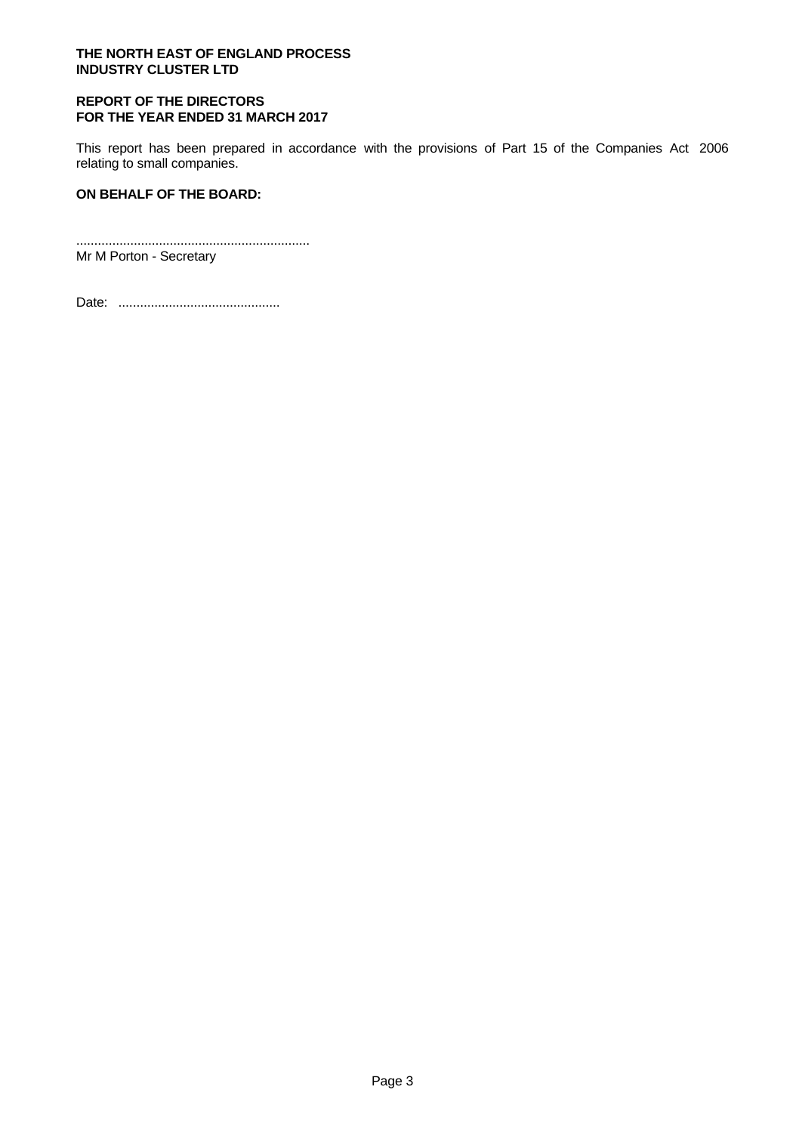## **REPORT OF THE DIRECTORS FOR THE YEAR ENDED 31 MARCH 2017**

This report has been prepared in accordance with the provisions of Part 15 of the Companies Act 2006 relating to small companies.

# **ON BEHALF OF THE BOARD:**

................................................................. Mr M Porton - Secretary

Date: .............................................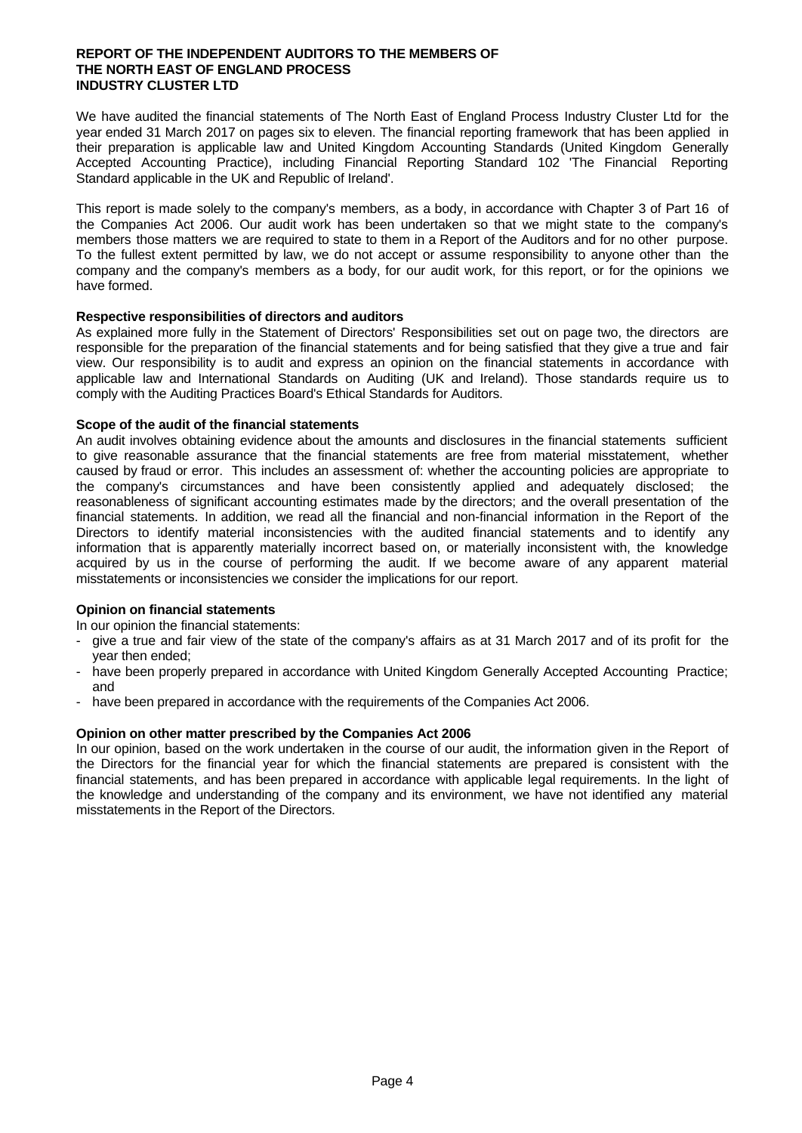### **REPORT OF THE INDEPENDENT AUDITORS TO THE MEMBERS OF THE NORTH EAST OF ENGLAND PROCESS INDUSTRY CLUSTER LTD**

We have audited the financial statements of The North East of England Process Industry Cluster Ltd for the year ended 31 March 2017 on pages six to eleven. The financial reporting framework that has been applied in their preparation is applicable law and United Kingdom Accounting Standards (United Kingdom Generally Accepted Accounting Practice), including Financial Reporting Standard 102 'The Financial Reporting Standard applicable in the UK and Republic of Ireland'.

This report is made solely to the company's members, as a body, in accordance with Chapter 3 of Part 16 of the Companies Act 2006. Our audit work has been undertaken so that we might state to the company's members those matters we are required to state to them in a Report of the Auditors and for no other purpose. To the fullest extent permitted by law, we do not accept or assume responsibility to anyone other than the company and the company's members as a body, for our audit work, for this report, or for the opinions we have formed.

## **Respective responsibilities of directors and auditors**

As explained more fully in the Statement of Directors' Responsibilities set out on page two, the directors are responsible for the preparation of the financial statements and for being satisfied that they give a true and fair view. Our responsibility is to audit and express an opinion on the financial statements in accordance with applicable law and International Standards on Auditing (UK and Ireland). Those standards require us to comply with the Auditing Practices Board's Ethical Standards for Auditors.

## **Scope of the audit of the financial statements**

An audit involves obtaining evidence about the amounts and disclosures in the financial statements sufficient to give reasonable assurance that the financial statements are free from material misstatement, whether caused by fraud or error. This includes an assessment of: whether the accounting policies are appropriate to the company's circumstances and have been consistently applied and adequately disclosed; the reasonableness of significant accounting estimates made by the directors; and the overall presentation of the financial statements. In addition, we read all the financial and non-financial information in the Report of the Directors to identify material inconsistencies with the audited financial statements and to identify any information that is apparently materially incorrect based on, or materially inconsistent with, the knowledge acquired by us in the course of performing the audit. If we become aware of any apparent material misstatements or inconsistencies we consider the implications for our report.

## **Opinion on financial statements**

- In our opinion the financial statements:<br>- give a true and fair view of the state of the company's affairs as at 31 March 2017 and of its profit for the
- year then ended;<br>have been properly prepared in accordance with United Kingdom Generally Accepted Accounting Practice; and<br>have been prepared in accordance with the requirements of the Companies Act 2006.
- 

## **Opinion on other matter prescribed by the Companies Act 2006**

In our opinion, based on the work undertaken in the course of our audit, the information given in the Report of the Directors for the financial year for which the financial statements are prepared is consistent with the financial statements, and has been prepared in accordance with applicable legal requirements. In the light of the knowledge and understanding of the company and its environment, we have not identified any material misstatements in the Report of the Directors.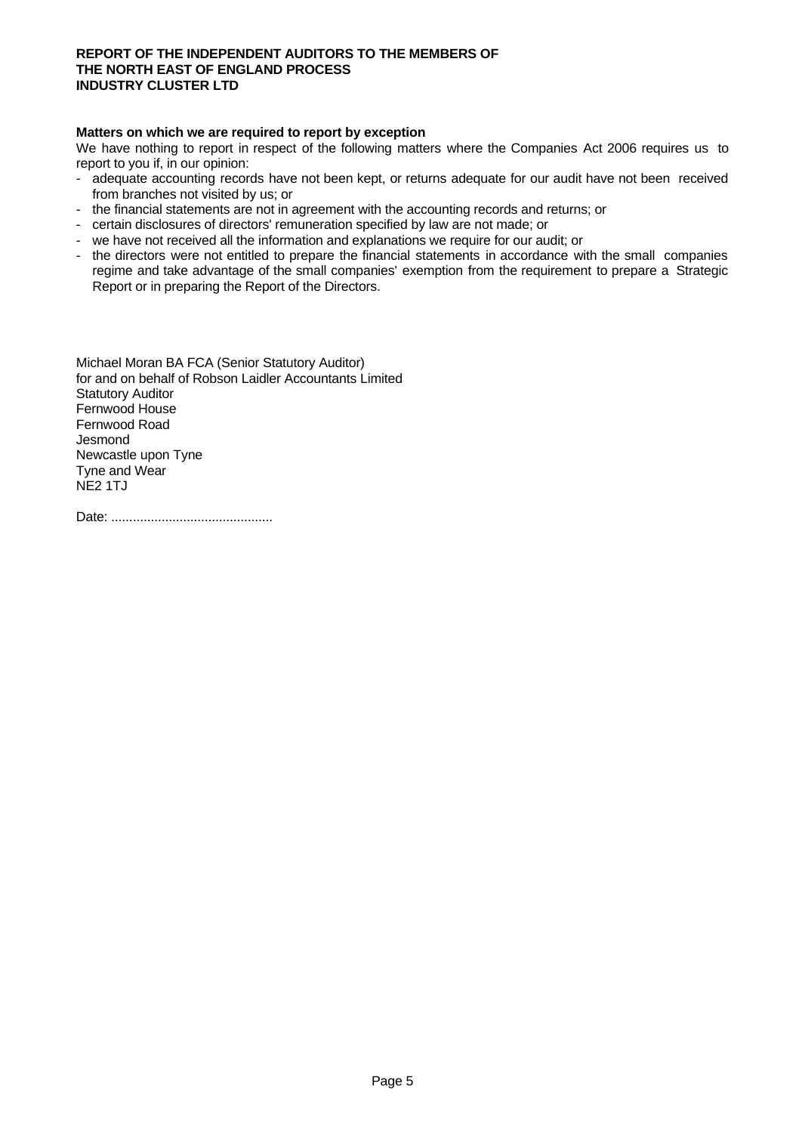## **REPORT OF THE INDEPENDENT AUDITORS TO THE MEMBERS OF THE NORTH EAST OF ENGLAND PROCESS INDUSTRY CLUSTER LTD**

## **Matters on which we are required to report by exception**

We have nothing to report in respect of the following matters where the Companies Act 2006 requires us to report to you if, in our opinion:

- adequate accounting records have not been kept, or returns adequate for our audit have not been received from branches not visited by us; or<br>
- the financial statements are not in agreement with the accounting records and returns; or<br>
- certain disclosures of directors' remuneration specified by law are not made; or<br>
- we hav
- 
- 
- 
- regime and take advantage of the small companies' exemption from the requirement to prepare a Strategic Report or in preparing the Report of the Directors.

Michael Moran BA FCA (Senior Statutory Auditor) for and on behalf of Robson Laidler Accountants Limited Statutory Auditor Fernwood House Fernwood Road Jesmond Newcastle upon Tyne Tyne and Wear NE2 1TJ

Date: .............................................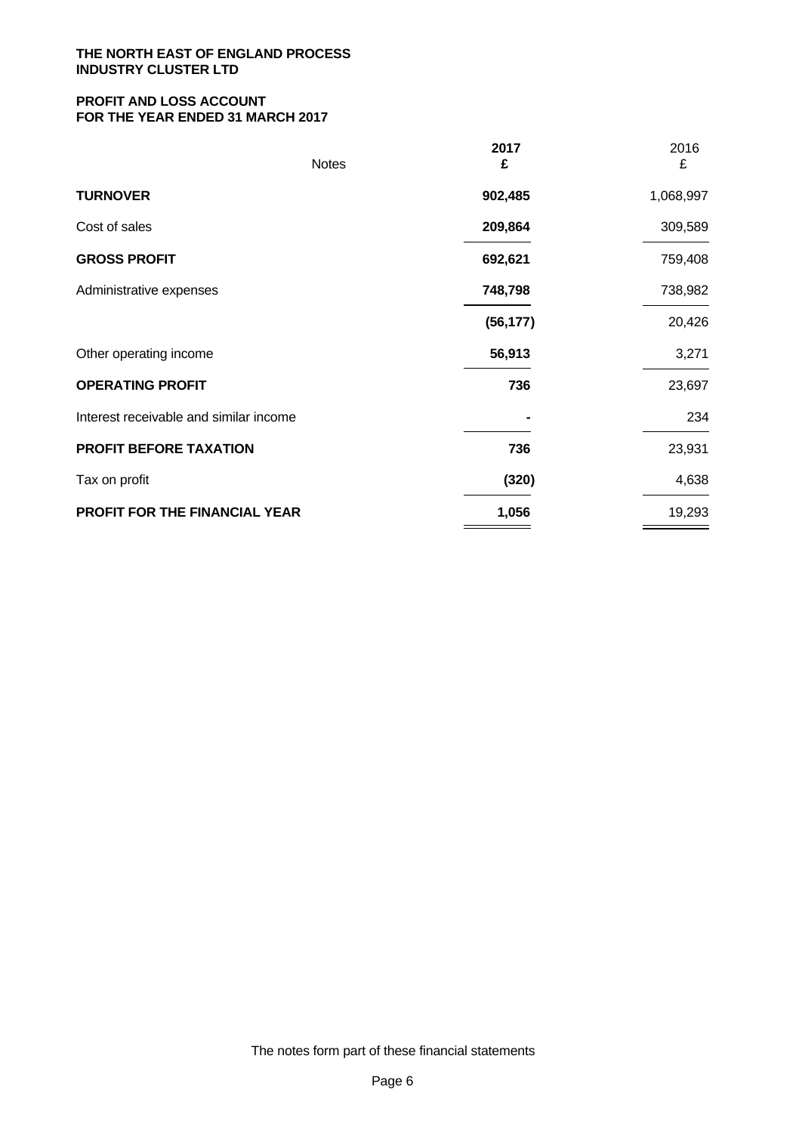# **PROFIT AND LOSS ACCOUNT FOR THE YEAR ENDED 31 MARCH 2017**

| <b>Notes</b>                           | 2017<br>£ | 2016<br>£ |
|----------------------------------------|-----------|-----------|
| <b>TURNOVER</b>                        | 902,485   | 1,068,997 |
| Cost of sales                          | 209,864   | 309,589   |
| <b>GROSS PROFIT</b>                    | 692,621   | 759,408   |
| Administrative expenses                | 748,798   | 738,982   |
|                                        | (56, 177) | 20,426    |
| Other operating income                 | 56,913    | 3,271     |
| <b>OPERATING PROFIT</b>                | 736       | 23,697    |
| Interest receivable and similar income |           | 234       |
| <b>PROFIT BEFORE TAXATION</b>          | 736       | 23,931    |
| Tax on profit                          | (320)     | 4,638     |
| PROFIT FOR THE FINANCIAL YEAR          | 1,056     | 19,293    |

The notes form part of these financial statements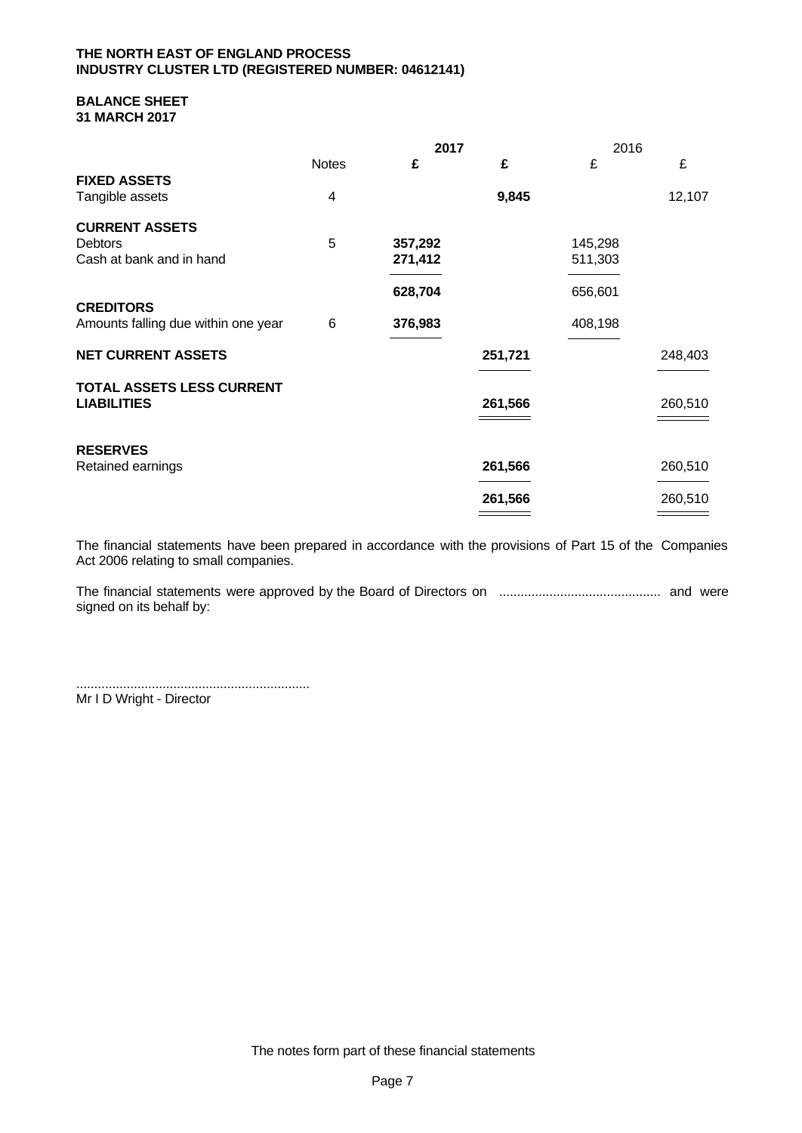## **THE NORTH EAST OF ENGLAND PROCESS INDUSTRY CLUSTER LTD (REGISTERED NUMBER: 04612141)**

#### **BALANCE SHEET 31 MARCH 2017**

|                                                                     |              | 2017               |         | 2016               |         |  |
|---------------------------------------------------------------------|--------------|--------------------|---------|--------------------|---------|--|
|                                                                     | <b>Notes</b> | £                  | £       | £                  | £       |  |
| <b>FIXED ASSETS</b><br>Tangible assets                              | 4            |                    | 9,845   |                    | 12,107  |  |
| <b>CURRENT ASSETS</b><br><b>Debtors</b><br>Cash at bank and in hand | 5            | 357,292<br>271,412 |         | 145,298<br>511,303 |         |  |
|                                                                     |              | 628,704            |         | 656,601            |         |  |
| <b>CREDITORS</b><br>Amounts falling due within one year             | 6            | 376,983            |         | 408,198            |         |  |
| <b>NET CURRENT ASSETS</b>                                           |              |                    | 251,721 |                    | 248,403 |  |
| <b>TOTAL ASSETS LESS CURRENT</b><br><b>LIABILITIES</b>              |              |                    | 261,566 |                    | 260,510 |  |
| <b>RESERVES</b>                                                     |              |                    |         |                    |         |  |
| Retained earnings                                                   |              |                    | 261,566 |                    | 260,510 |  |
|                                                                     |              |                    | 261,566 |                    | 260,510 |  |
|                                                                     |              |                    |         |                    |         |  |

The financial statements have been prepared in accordance with the provisions of Part 15 of the Companies Act 2006 relating to small companies.

The financial statements were approved by the Board of Directors on ............................................. and were signed on its behalf by:

| Mr I D Wright - Director |  |  |  |  |  |  |  |
|--------------------------|--|--|--|--|--|--|--|

The notes form part of these financial statements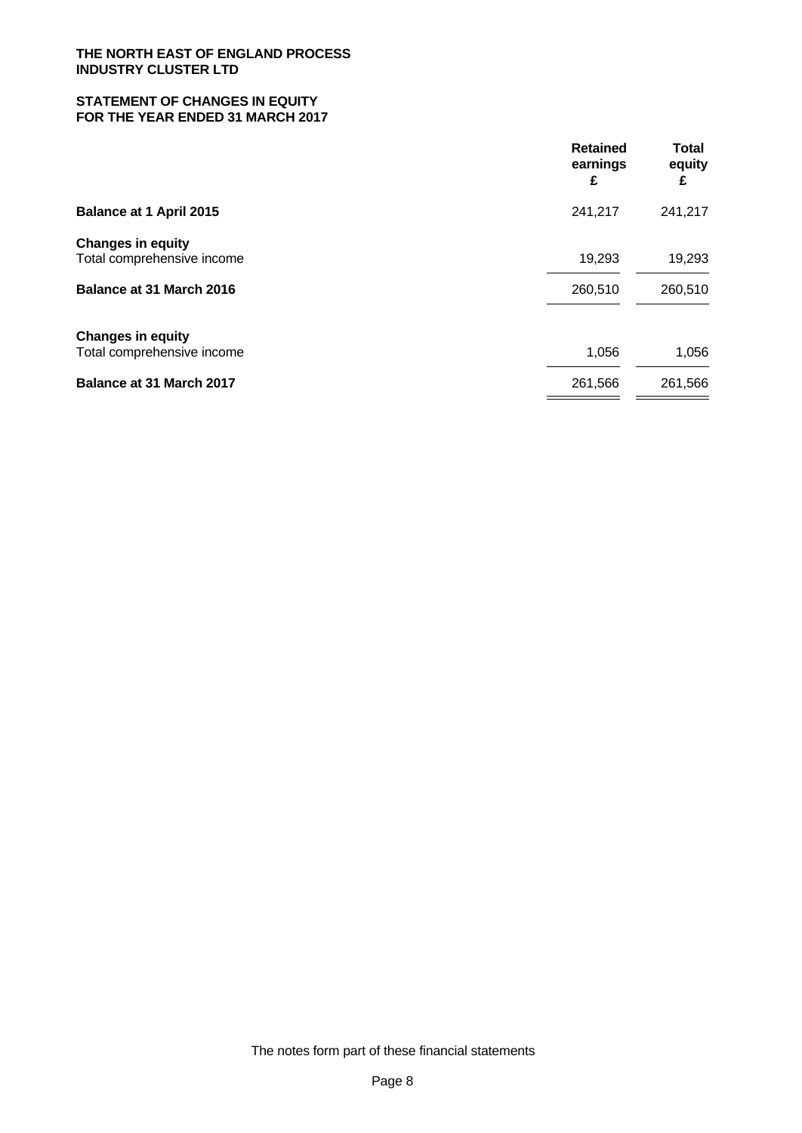## **STATEMENT OF CHANGES IN EQUITY FOR THE YEAR ENDED 31 MARCH 2017**

|                                                        | <b>Retained</b><br>earnings<br>£ | <b>Total</b><br>equity<br>£ |
|--------------------------------------------------------|----------------------------------|-----------------------------|
| <b>Balance at 1 April 2015</b>                         | 241,217                          | 241,217                     |
| <b>Changes in equity</b><br>Total comprehensive income | 19,293                           | 19,293                      |
| <b>Balance at 31 March 2016</b>                        | 260,510                          | 260,510                     |
| <b>Changes in equity</b>                               |                                  |                             |
| Total comprehensive income                             | 1,056                            | 1,056                       |
| Balance at 31 March 2017                               | 261,566                          | 261,566                     |
|                                                        |                                  |                             |

The notes form part of these financial statements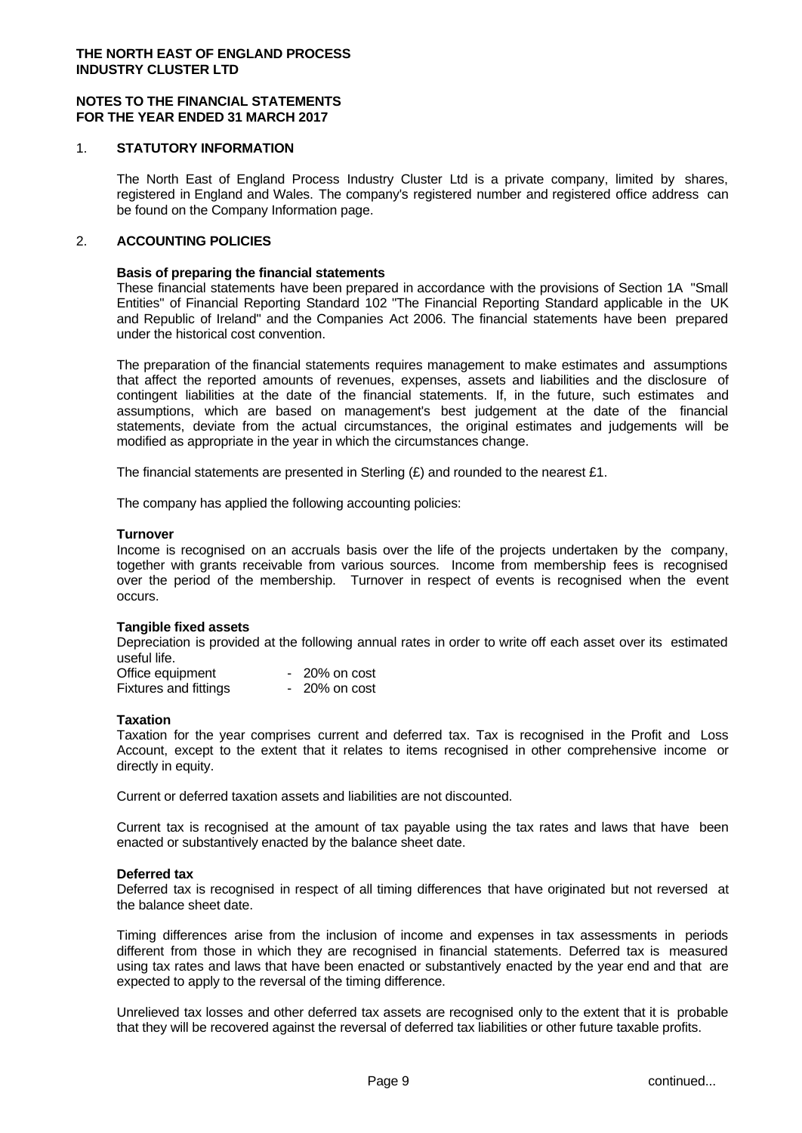## **NOTES TO THE FINANCIAL STATEMENTS FOR THE YEAR ENDED 31 MARCH 2017**

### 1. **STATUTORY INFORMATION**

The North East of England Process Industry Cluster Ltd is a private company, limited by shares, registered in England and Wales. The company's registered number and registered office address can be found on the Company Information page.

### 2. **ACCOUNTING POLICIES**

#### **Basis of preparing the financial statements**

These financial statements have been prepared in accordance with the provisions of Section 1A "Small Entities" of Financial Reporting Standard 102 "The Financial Reporting Standard applicable in the UK and Republic of Ireland" and the Companies Act 2006. The financial statements have been prepared under the historical cost convention.

The preparation of the financial statements requires management to make estimates and assumptions that affect the reported amounts of revenues, expenses, assets and liabilities and the disclosure of contingent liabilities at the date of the financial statements. If, in the future, such estimates and assumptions, which are based on management's best judgement at the date of the financial statements, deviate from the actual circumstances, the original estimates and judgements will be modified as appropriate in the year in which the circumstances change.

The financial statements are presented in Sterling (£) and rounded to the nearest £1.

The company has applied the following accounting policies:

#### **Turnover**

Income is recognised on an accruals basis over the life of the projects undertaken by the company, together with grants receivable from various sources. Income from membership fees is recognised over the period of the membership. Turnover in respect of events is recognised when the event occurs.

#### **Tangible fixed assets**

Depreciation is provided at the following annual rates in order to write off each asset over its estimated useful life.

| Office equipment      | $-20\%$ on cost |
|-----------------------|-----------------|
| Fixtures and fittings | $-20\%$ on cost |

#### **Taxation**

Taxation for the year comprises current and deferred tax. Tax is recognised in the Profit and Loss Account, except to the extent that it relates to items recognised in other comprehensive income or directly in equity.

Current or deferred taxation assets and liabilities are not discounted.

Current tax is recognised at the amount of tax payable using the tax rates and laws that have been enacted or substantively enacted by the balance sheet date.

#### **Deferred tax**

Deferred tax is recognised in respect of all timing differences that have originated but not reversed at the balance sheet date.

Timing differences arise from the inclusion of income and expenses in tax assessments in periods different from those in which they are recognised in financial statements. Deferred tax is measured using tax rates and laws that have been enacted or substantively enacted by the year end and that are expected to apply to the reversal of the timing difference.

Unrelieved tax losses and other deferred tax assets are recognised only to the extent that it is probable that they will be recovered against the reversal of deferred tax liabilities or other future taxable profits.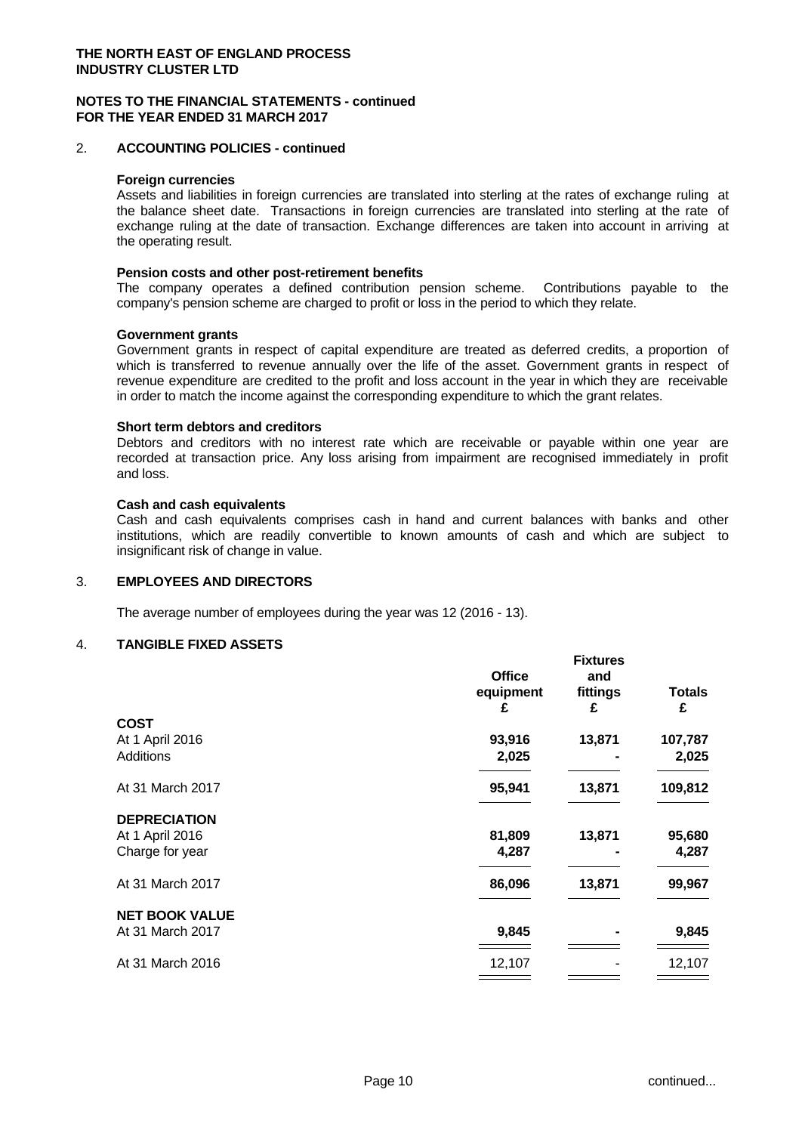### **NOTES TO THE FINANCIAL STATEMENTS - continued FOR THE YEAR ENDED 31 MARCH 2017**

#### 2. **ACCOUNTING POLICIES - continued**

#### **Foreign currencies**

Assets and liabilities in foreign currencies are translated into sterling at the rates of exchange ruling at the balance sheet date. Transactions in foreign currencies are translated into sterling at the rate of exchange ruling at the date of transaction. Exchange differences are taken into account in arriving at the operating result.

#### **Pension costs and other post-retirement benefits**

The company operates a defined contribution pension scheme. Contributions payable to the company's pension scheme are charged to profit or loss in the period to which they relate.

#### **Government grants**

Government grants in respect of capital expenditure are treated as deferred credits, a proportion of which is transferred to revenue annually over the life of the asset. Government grants in respect of revenue expenditure are credited to the profit and loss account in the year in which they are receivable in order to match the income against the corresponding expenditure to which the grant relates.

#### **Short term debtors and creditors**

Debtors and creditors with no interest rate which are receivable or payable within one year are recorded at transaction price. Any loss arising from impairment are recognised immediately in profit and loss.

#### **Cash and cash equivalents**

Cash and cash equivalents comprises cash in hand and current balances with banks and other institutions, which are readily convertible to known amounts of cash and which are subject to insignificant risk of change in value.

#### 3. **EMPLOYEES AND DIRECTORS**

The average number of employees during the year was 12 (2016 - 13).

#### 4. **TANGIBLE FIXED ASSETS**

|                       |               | <b>Fixtures</b> |               |
|-----------------------|---------------|-----------------|---------------|
|                       | <b>Office</b> | and             |               |
|                       | equipment     | fittings        | <b>Totals</b> |
|                       | £             | £               | £             |
| <b>COST</b>           |               |                 |               |
| At 1 April 2016       | 93,916        | 13,871          | 107,787       |
| Additions             | 2,025         |                 | 2,025         |
| At 31 March 2017      | 95,941        | 13,871          | 109,812       |
| <b>DEPRECIATION</b>   |               |                 |               |
| At 1 April 2016       | 81,809        | 13,871          | 95,680        |
| Charge for year       | 4,287         |                 | 4,287         |
| At 31 March 2017      | 86,096        | 13,871          | 99,967        |
| <b>NET BOOK VALUE</b> |               |                 |               |
| At 31 March 2017      | 9,845         |                 | 9,845         |
| At 31 March 2016      | 12,107        |                 | 12,107        |
|                       |               |                 |               |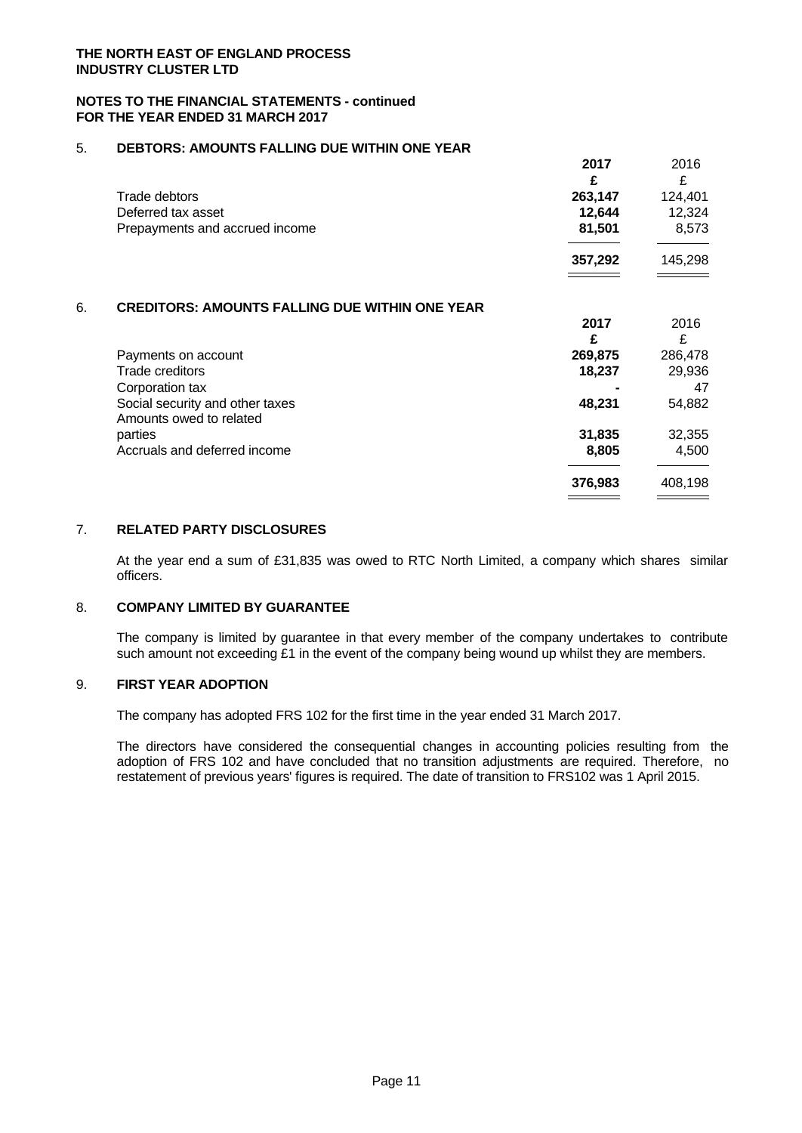### **NOTES TO THE FINANCIAL STATEMENTS - continued FOR THE YEAR ENDED 31 MARCH 2017**

### 5. **DEBTORS: AMOUNTS FALLING DUE WITHIN ONE YEAR**

|                                                       |         | 2016    |
|-------------------------------------------------------|---------|---------|
|                                                       | £       | £       |
| Trade debtors                                         | 263,147 | 124,401 |
| Deferred tax asset                                    | 12,644  | 12,324  |
| Prepayments and accrued income                        | 81,501  | 8,573   |
|                                                       | 357,292 | 145,298 |
| <b>CREDITORS: AMOUNTS FALLING DUE WITHIN ONE YEAR</b> | 2017    | 2016    |
|                                                       | £       | £       |
| Payments on account                                   | 269,875 | 286,478 |
| Trade creditors                                       | 18,237  | 29,936  |
| Corporation tax                                       |         | 47      |
| Social security and other taxes                       | 48,231  | 54,882  |
| Amounts owed to related                               |         |         |
| parties                                               | 31,835  | 32,355  |
| Accruals and deferred income                          | 8,805   | 4,500   |
|                                                       |         |         |

## 7. **RELATED PARTY DISCLOSURES**

At the year end a sum of £31,835 was owed to RTC North Limited, a company which shares similar officers.

## 8. **COMPANY LIMITED BY GUARANTEE**

The company is limited by guarantee in that every member of the company undertakes to contribute such amount not exceeding £1 in the event of the company being wound up whilst they are members.

#### 9. **FIRST YEAR ADOPTION**

The company has adopted FRS 102 for the first time in the year ended 31 March 2017.

The directors have considered the consequential changes in accounting policies resulting from the adoption of FRS 102 and have concluded that no transition adjustments are required. Therefore, no restatement of previous years' figures is required. The date of transition to FRS102 was 1 April 2015.